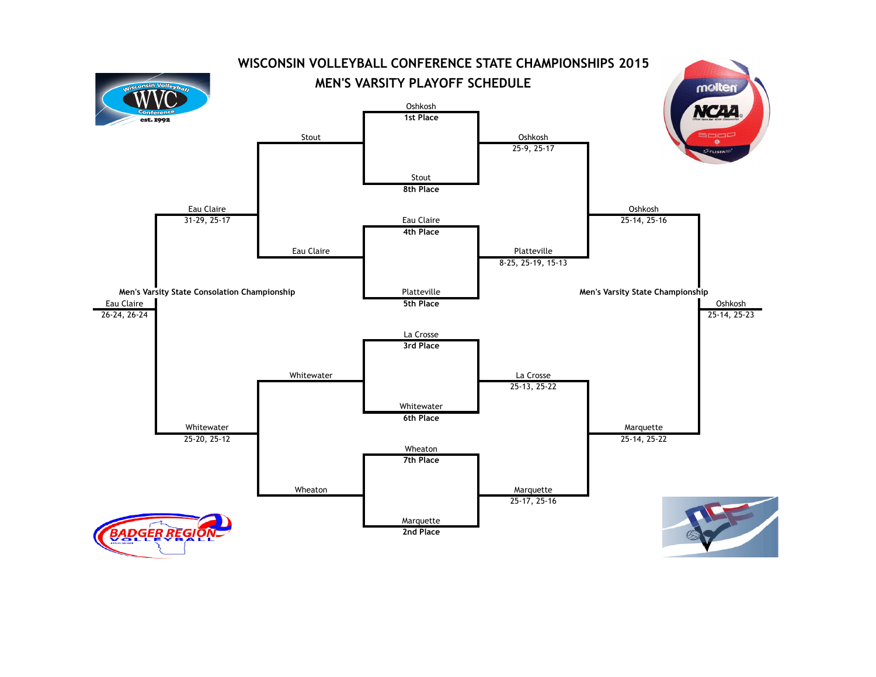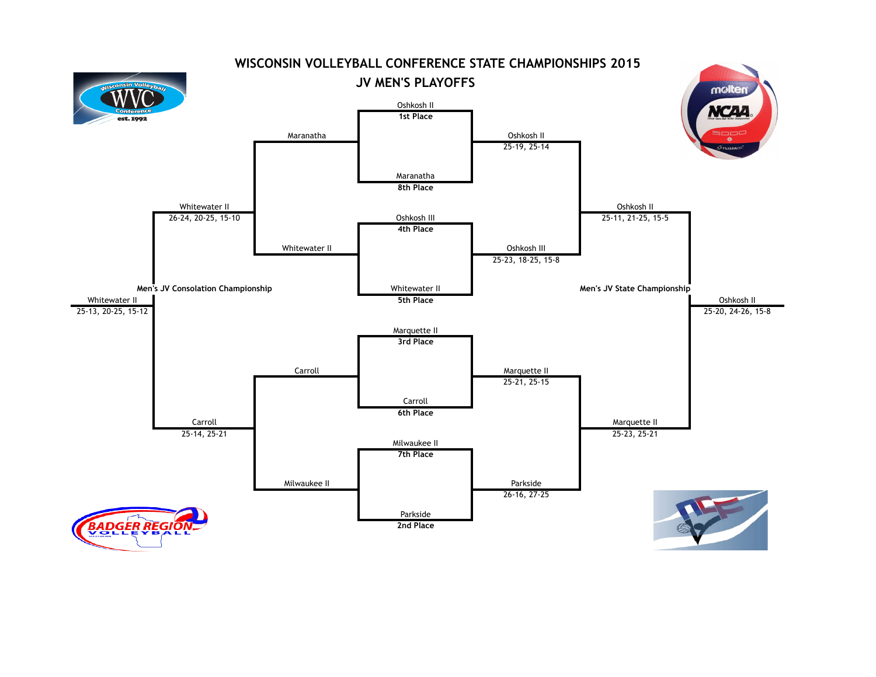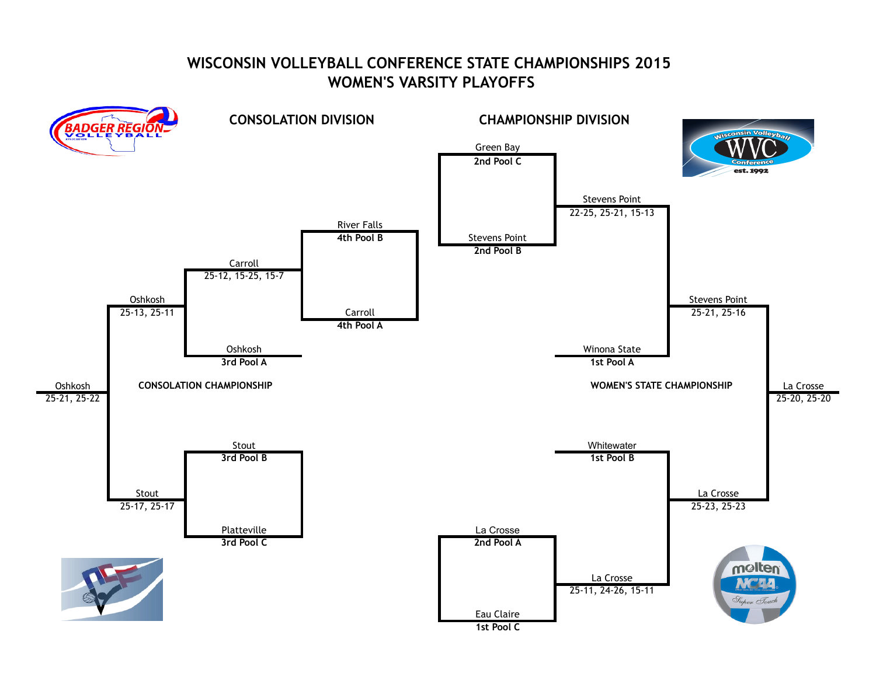## **WISCONSIN VOLLEYBALL CONFERENCE STATE CHAMPIONSHIPS 2015 WOMEN'S VARSITY PLAYOFFS**